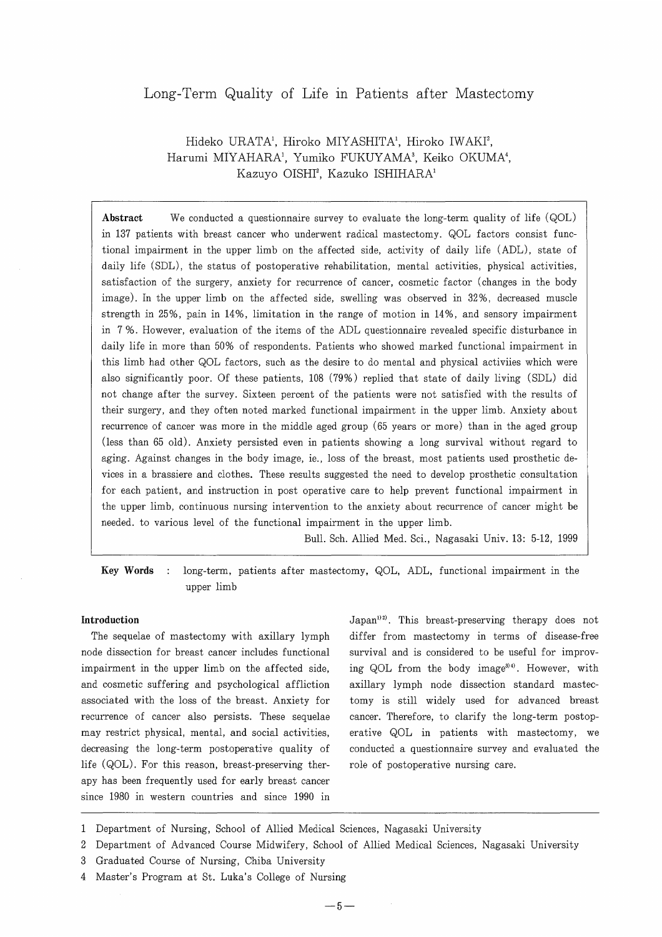# Long-Term Quality of Life in Patients after Mastectomy

# Hideko URATA\*, Hiroko MIYASHITA\*, Hiroko IWAKI', Harumi MIYAHARA\*, Yumiko FUKUYAMA', Keiko OKUMA', Kazuyo OISHI', Kazuko ISHIHARA

Abstract We conducted a questionnaire survey to evaluate the long-term quality of life (QOL) in 137 patients with breast cancer who underwent radical mastectorny. QOL factors consist functional impairment in the upper limb on the affected side, activity of daily life (ADL), state of daily life (SDL), the status of postoperative rehabilitation, mental activities, physical activities, satisfaction of the surgery, anxiety for recurrence of cancer, cosrnetic factor (changes in the body image). In the upper limb on the affected side, swelling was observed in 32%, decreased muscle strength in 25%, pain in 14%, limitation in the range of motion in 14%, and sensory impairment in 7%. However, evaluation of the items of the ADL questionnaire revealed specific disturbance in daily life in more than 50% of respondents. Patients who showed marked functional impairment in this limb had other QOL factors, such as the desire to do mental and physical activiies which were also significantly poor. Of these patients, 108 (79%) replied that state of daily living (SDL) did not change after the survey. Sixteen percent of the patients were not satisfied with the results of their surgery, and they often noted marked functional impairment in the upper limb. Anxiety about recurrence of cancer was more in the middle aged group (65 years or more) than in the aged group (less than 65 old). Anxiety persisted even in patients showing a long survival without regard to aging. Against changes in the body image, ie., Ioss of the breast, most patients used prosthetic devices in a brassiere and clothes. These results suggested the need to develop prosthetic consultation for each patient, and instruction in post operative care to help prevent functional impairment in the upper limb, continuous nursing intervention to the anxiety about recurrence of cancer might be needed. to various level of the functional impairment in the upper limb.

Bull. Sch. Allied Med. Sci., Nagasaki Univ. 13: 5-12, 1999

Key Words : long-term, patients after mastectomy, QOL, ADL, functional impairment in the upper limb

# Introduction

The sequelae of mastectomy with axillary lymph node dissection for breast cancer includes functional impairment in the upper limb on the affected side, and cosmetic suffering and psychological affliction associated with the loss of the breast. Anxiety for recurrence of cancer also persists. These sequelae may restrict physical, mental, and social activities, decreasing the long-term postoperative quality of life (QOL). For this reason, breast-preserving therapy has been frequently used for early breast cancer since 1980 in western countries and since 1990 in

 $Japan<sup>12</sup>$ . This breast-preserving therapy does not differ from mastectomy in terms of disease-free survival and is considered to be useful for improving QOL from the body image<sup>3)4)</sup>. However, with axillary lymph node dissection standard mastectomy is still widely used for advanced breast cancer. Therefore, to clarify the long-term postoperative QOL in patients with mastectomy, we conducted a questionnaire survey and evaluated the role of postoperative nursing care.

<sup>1</sup>  Department of Nursing, School of Allied Medical Sciences, Nagasaki University

Department of Advanced Course Midwifery, School of Allied Medical Sciences, Nagasaki University

<sup>3</sup>  Graduated Course of Nursing, Chiba University

<sup>4</sup>  Master's Program at St. Luka's College of Nursing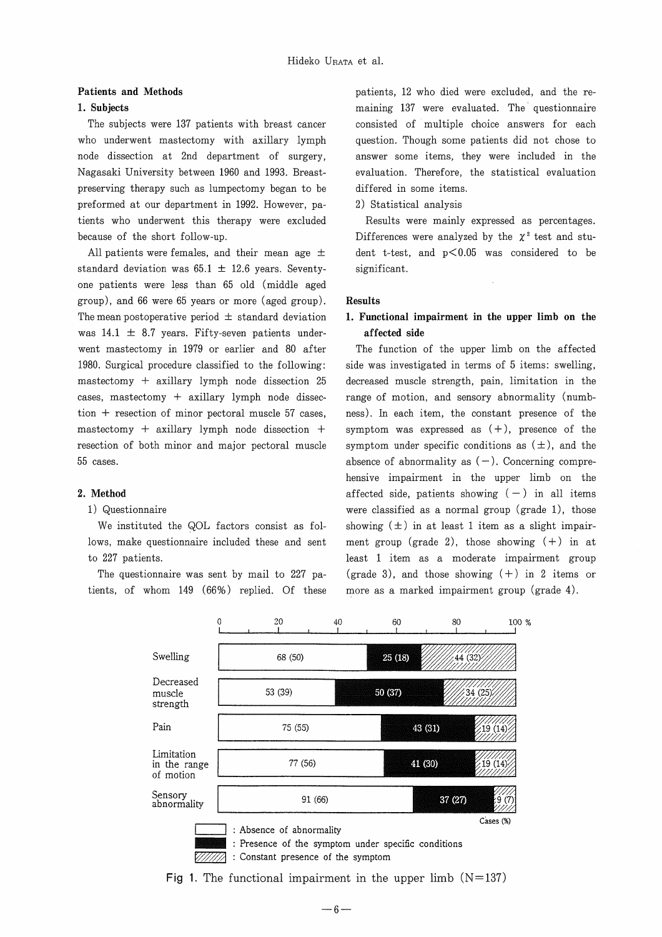# Patients and Methods

# 1. Subjects

The subjects were 137 patients with breast cancer who underwent mastectomy with axillary lymph node dissection at 2nd department of surgery, Nagasaki University between 1960 and 1993. Breastpreserving therapy such as lurnpectomy began to be preformed at our department in 1992. However, patients who underwent this therapy were excluded because of the short follow-up.

All patients were females, and their mean age  $\pm$ standard deviation was  $65.1 \pm 12.6$  years. Seventyone patients were less than 65 old (middle aged group), and 66 were 65 years or more (aged group). The mean postoperative period  $\pm$  standard deviation was  $14.1 \pm 8.7$  years. Fifty-seven patients underwent mastectomy in 1979 or earlier and 80 after 1980. Surgical procedure classified to the following: mastectomy + axillary lymph node dissection 25 cases, mastectomy + axillary lymph node dissection + resection of minor pectoral muscle 57 cases, mastectomy + axillary lymph node dissection + resection of both minor and major pectoral muscle 55 cases.

## 2. Method

# 1 ) Questionnaire

We instituted the QOL factors consist as fol-10ws, make questionnaire included these and sent to 227 patients.

The questionnaire was sent by mail to 227 patients, of whom  $149$  (66%) replied. Of these patients, 12 who died were excluded, and the remaining 137 were evaluated. The questionnaire consisted of multiple choice answers for each question. Though some patients did not chose to answer some items, they were included in the evaluation. Therefore, the statistical evaluation differed in some items.

2) Statistical analysis

Results were mainly expressed as percentages. Differences were analyzed by the  $\chi^2$  test and student t-test, and  $p<0.05$  was considered to be significant.

# Results

# l. Functional impairment in the upper limb on the affected side

The function of the upper limb on the affected side was investigated in terms of 5 items: swelling, decreased muscle strength, pain, Iimitation in the range of motion, and sensory abnormality (numbness). In each item, the constant presence of the symptom was expressed as  $(+)$ , presence of the symptom under specific conditions as  $(\pm)$ , and the absence of abnormality as  $(-)$ . Concerning comprehensive impairment in the upper limb on the affected side, patients showing  $(-)$  in all items were classified as a normal group (grade 1), those showing  $(\pm)$  in at least 1 item as a slight impairment group (grade 2), those showing  $(+)$  in at least 1 item as a moderate impairment group (grade 3), and those showing  $(+)$  in 2 items or more as a marked impairment group (grade 4).

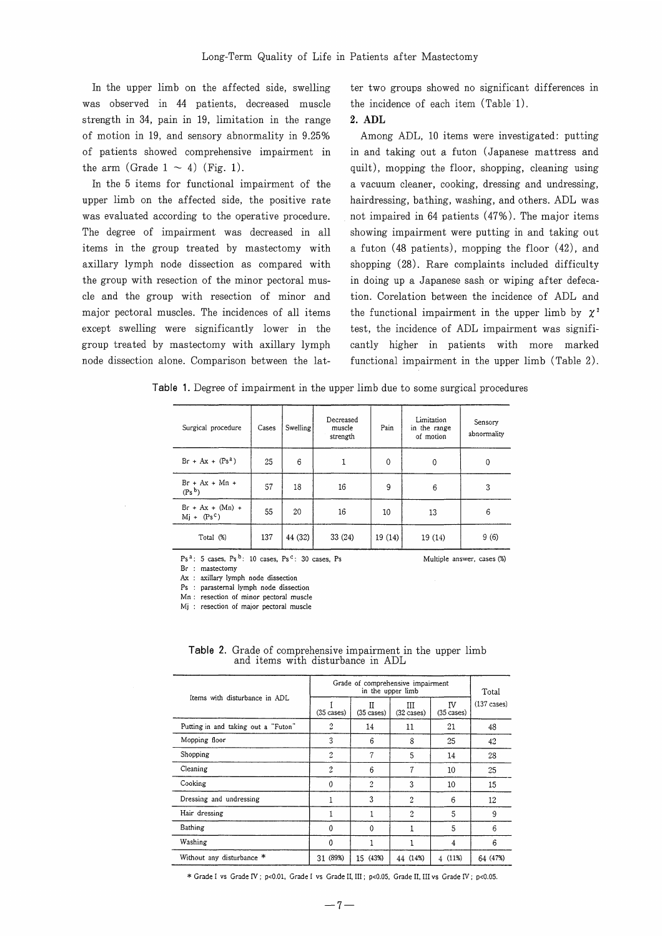In the upper limb on the affected side, swelling was observed in 44 patients, decreased muscle strength in 34, pain in 19, Iimitation in the range of motion in 19, and sensory abnormality in 9.25% of patients showed cornprehensive impairment in the arm (Grade  $1 \sim 4$ ) (Fig. 1).

In the 5 items for functional impairment of the upper limb on the affected side, the positive rate was evaluated according to the operative procedure. The degree of impairment was decreased in all items in the group treated by mastectomy with axillary lymph node dissection as compared with the group with resection of the minor pectoral muscle and the group with resection of minor and major pectoral muscles. The incidences of all items except swelling were significantly lower in the group treated by mastectomy with axillary lymph node dissection alone. Comparison between the lat-

ter two groups showed no significant differences in the incidence of each item (Table 1).

### 2. ADL

Among ADL, 10 items were investigated: putting in and taking out a futon (Japanese mattress and quilt), mopping the floor, shopping, cleaning using a vacuum cleaner, cooking, dressing and undressing, hairdressing, bathing, washing, and others. ADL was not impaired in 64 patients  $(47\%)$ . The major items showing impairment were putting in and taking out a futon (48 patients), mopping the floor (42), and shopping (28). Rare complaints included difficulty in doing up a Japanese sash or wiping after defecation. Corelation between the incidence of ADL and the functional impairment in the upper limb by  $\chi^2$ test, the incidence of ADL impairment was significantly higher in patients with more marked functional impairment in the upper limb (Table  $2$ ).

Table 1. Degree of impairment in the upper limb due to some surgical procedures

| Surgical procedure                     | Cases | Swelling | Decreased<br>muscle<br>strength | Pain   | Limitation<br>in the range<br>of motion | Sensory<br>abnormality |
|----------------------------------------|-------|----------|---------------------------------|--------|-----------------------------------------|------------------------|
| $Br + Ax + (Ps2)$                      | 25    | 6        |                                 | 0      | $\mathbf 0$                             | 0                      |
| $Br + Ax + Mn +$<br>(P <sub>S</sub> b) | 57    | 18       | 16                              | 9      | 6                                       | 3                      |
| $Br + Ax + (Mn) +$<br>$Mj + (Ps^c)$    | 55    | 20       | 16                              | 10     | 13                                      | 6                      |
| Total (%)                              | 137   | 44 (32)  | 33(24)                          | 19(14) | 19 (14)                                 | 9(6)                   |

 $Ps<sup>a</sup>$ : 5 cases, Ps<sup>b</sup>: 10 cases, Ps<sup>c</sup>: 30 cases, Ps **and Multiple answer, cases (%)** 

Br : mastectomy

Ax : axillary lymph node dissection

Ps : parastemal lymph node dissection

Mn : resection of minor pectoral muscle

Mj : resection of major pectoral muscle

| Items with disturbance in ADL       | Grade of comprehensive impairment | Total                       |                            |                     |                       |
|-------------------------------------|-----------------------------------|-----------------------------|----------------------------|---------------------|-----------------------|
|                                     | $(35 \; cases)$                   | П<br>$(35 \; \text{cases})$ | IП<br>$(32 \text{ cases})$ | ΓV<br>$(35 \cases)$ | $(137 \text{ cases})$ |
| Putting in and taking out a "Futon" | 2                                 | 14                          | 11                         | 21                  | 48                    |
| Mopping floor                       | 3                                 | 6                           | 8                          | 25                  | 42                    |
| Shopping                            | $\overline{2}$                    | 7                           | 5                          | 14                  | 28                    |
| Cleaning                            | $\overline{2}$                    | 6                           | 7                          | 10                  | 25                    |
| Cooking                             | $\theta$                          | 2                           | 3                          | 10                  | 15                    |
| Dressing and undressing             |                                   | 3                           | $\overline{2}$             | 6                   | 12                    |
| Hair dressing                       |                                   |                             | 2                          | 5                   | 9                     |
| Bathing                             | $\Omega$                          | $\Omega$                    |                            | 5                   | 6                     |
| Washing                             | 0                                 |                             |                            | 4                   | 6                     |
| Without any disturbance *           | 31 (89%)                          | 15<br>(43%)                 | 44 (14%)                   | (11%)<br>4          | 64 (47%)              |

Table 2. Grade of comprehensive impairment in the upper limb and items with disturbance in ADL

\* Grade I vs Grade IV ; p<0.01, Grade I vs Grade II, III ; p<0.05, Grade II, III vs Grade IV ; p<0.05.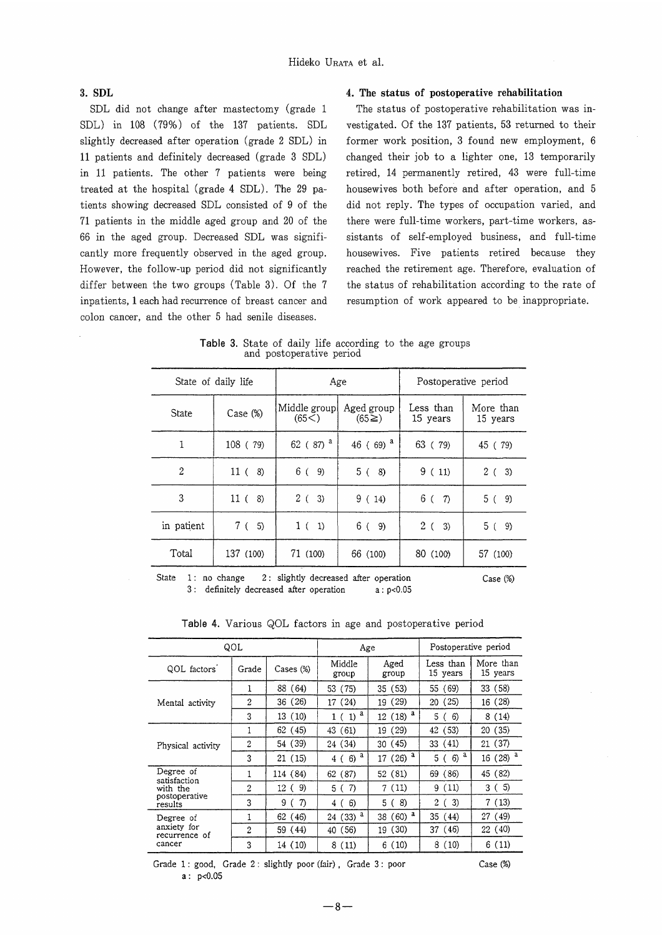# 3. SDL

SDL did not change after mastectomy (grade l SDL) in 108 (79%) of the 137 patients. SDL slightly decreased after operation (grade 2 SDL) in 11 patients and definitely decreased (grade 3 SDL) in 11 patients. The other 7 patients were being treated at the hospital (grade 4 SDL). The 29 patients showing decreased SDL consisted of 9 of the 71 patients in the middle aged group and 20 of the 66 in the aged group. Decreased SDL was significantly more frequently observed in the aged group. However, the follow-up period did not significantly differ between the two groups (Table 3). Of the 7 inpatients, I each had recurrence of breast cancer and colon cancer, and the other 5 had senile diseases.

# 4. The status of postoperative rehabilitation

The status of postoperative rehabilitation was investigated. Of the 137 patients, 53 returned to their former work position, 3 found new employment, 6 changed their job to a lighter one, 13 temporarily retired, 14 permanently retired, 43 were full-time housewives both before and after operation, and 5 did not reply. The types of occupation varied, and there were full-time workers, part-time workers, assistants of self-employed business, and full-time housewives. Five patients retired because they reached the retirement age. Therefore, evaluation cf the status of rehabilitation according to the rate of resumption of work appeared to be inappropriate.

Table 3. State of daily life according to the age groups and postoperative period

| State of daily life |                       | Age                     |                          | Postoperative period  |                       |  |
|---------------------|-----------------------|-------------------------|--------------------------|-----------------------|-----------------------|--|
| <b>State</b>        | Case (%)              | Middle group<br>(65<)   | Aged group<br>$(65\geq)$ | Less than<br>15 years | More than<br>15 years |  |
| 1                   | 108 ( 79)             | 62 ( $87)$ <sup>a</sup> | 46 (69) <sup>a</sup>     | 63 (79)               | 45 (79)               |  |
| $\overline{2}$      | 11 <sup>0</sup><br>8) | 6 (<br>9)               | 5(<br>8)                 | 9(11)                 | 2(3)                  |  |
| 3                   | 11(<br>8)             | 2(3)                    | 9(14)                    | 6(7)                  | 5 (<br>9)             |  |
| in patient          | 7 (<br>5)             | 1(1)                    | 6(9)                     | $2(-3)$               | 5(9)                  |  |
| Total               | 137 (100)             | 71 (100)                | 66 (100)                 | 80 (100)              | 57 (100)              |  |

State 1: no change 2: slightly decreased after operation 3 : definitely decreased after operation  $a: p<0.05$  Case (%)

Table 4. Various QOL factors in age and postoperative period

| QOL                                                               |       |            | Age             |                           | Postoperative period  |                       |  |
|-------------------------------------------------------------------|-------|------------|-----------------|---------------------------|-----------------------|-----------------------|--|
| QOL factors                                                       | Grade | Cases (%)  | Middle<br>group | Aged<br>group             | Less than<br>15 years | More than<br>15 years |  |
| Mental activity                                                   | 1     | 88 (64)    | 53 (75)         | 35 (53)                   | 55 (69)               | 33 (58)               |  |
|                                                                   | 2     | 36 (26)    | 17(24)          | (29)<br>19                | 20 (25)               | 16 (28)               |  |
|                                                                   | 3     | 13 (10)    | $1(1)^a$        | $12(18)^a$                | 5 (<br>6)             | 8(14)                 |  |
| Physical activity                                                 | 1     | 62 (45)    | (61)<br>43      | (29)<br>19                | (53)<br>42            | 20(35)                |  |
|                                                                   | 2     | 54 (39)    | 24 (34)         | 30(45)                    | 33 (41)               | 21 (37)               |  |
|                                                                   | 3     | 21 (15)    | $4(6)^a$        | $17(26)$ <sup>a</sup>     | a<br>6)<br>5 (        | $16(28)$ <sup>a</sup> |  |
| Degree of<br>satisfaction<br>with the<br>postoperative<br>results | 1     | 114 (84)   | 62 (87)         | 52(81)                    | 69 (86)               | 45 (82)               |  |
|                                                                   | 2     | 9)<br>12 ( | -7)<br>5 (      | 7(11)                     | 9 (11)                | 5)<br>3 C             |  |
|                                                                   | 3     | 7)<br>9    | 6)<br>4 (       | 8)<br>5 (                 | 3)<br>2 (             | 7 (13)                |  |
| Degree of<br>anxiety for<br>recurrence of<br>cancer               | 1     | 62 (46)    | а<br>24 (33)    | $(60)$ <sup>a</sup><br>38 | 35 (44)               | 27 (49)               |  |
|                                                                   | 2     | 59 (44)    | (56)<br>40      | (30)<br>19                | 37 (46)               | 22(40)                |  |
|                                                                   | 3     | 14 (10)    | 8(11)           | 6(10)                     | 8(10)                 | 6(11)                 |  |

Grade 1: good, Grade 2: slightly poor (fair), Grade 3: poor Case (%)  $a: p<0.05$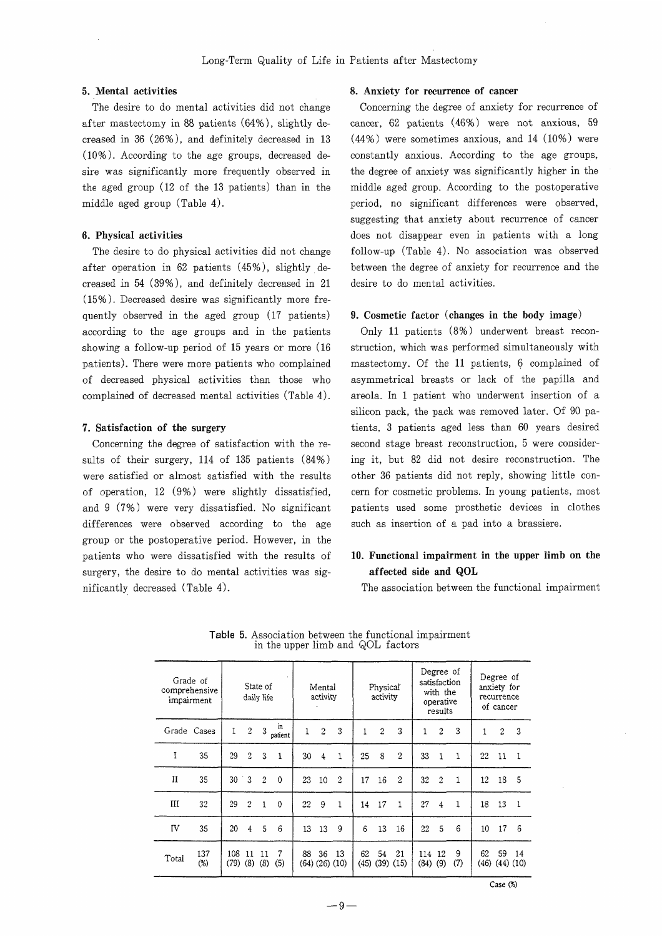after mastectomy in 88 patients  $(64\%)$ , slightly de- cancer, 62 patients  $(46\%)$  were not anxious, 59 creased in 36 (26%), and definitely decreased in 13 (44%) were sometimes anxious, and 14 (10%) were (100/0 ). According to the age groups, decreased de- constantly anxious. According to the age groups, sire was significantly more frequently observed in the degree of anxiety was significantly higher in the the aged group (12 of the 13 patients) than in the middle aged group. According to the postoperative middle aged group (Table 4). **period**, no significant differences were observed,

after operation in 62 patients  $(45\%)$ , slightly de- between the degree of anxiety for recurrence and the creased in  $54$  (39%), and definitely decreased in  $21$  desire to do mental activities.  $(15\%)$ . Decreased desire was significantly more frequently observed in the aged group  $(17 \text{ patients})$  9. Cosmetic factor (changes in the body image) according to the age groups and in the patients  $Only$  11 patients  $(8\%)$  underwent breast reconshowing a follow-up period of 15 years or more (16 struction, which was performed simultaneously with patients). There were more patients who complained mastectomy. Of the 11 patients, 6 complained of of decreased physical activities than those who asymmetrical breasts or lack of the papilla and cornplained of decreased mental activities (Table 4). areola. In I patient who underwent insertion of a

sults of their surgery, 114 of 135 patients (84%) ing it, but 82 did not desire reconstruction. The were satisfied or almost satisfied with the results other 36 patients did not reply, showing little conof operation, 12 (9%) were slightly dissatisfied, cern for cosmetic problems. In young patients, most and 9 (7%) were very dissatisfied. No significant patients used some prosthetic devices in clothes differences were observed according to the age such as insertion of a pad into a brassiere. group or the postoperative period. However, in the patients who were dissatisfied with the results of 10. Functional inrpairment in the upper limb on the surgery, the desire to do mental activities was sig- **affected side and QOL** nificantly decreased (Table 4). The association between the functional impairment

## 5. Mental activities 6. Anxiety for recurrence of cancer

The desire to do mental activities did not change Concerning the degree of anxiety for recurrence of suggesting that anxiety about recurrence of cancer 6. Physical activities does not disappear even in patients with a long The desire to do physical activities did not change follow-up (Table 4). No association was observed

silicon pack, the pack was removed later. Of 90 pa-7. Satisfaction of the surgery tients, 3 patients aged less than 60 years desired Concerning the degree of satisfaction with the re- second stage breast reconstruction, 5 were consider-

Degree of Degree of Grade of satisfaction State of Mental Physical anxiety for comprehensive with the daily life activity activity recurrence impairment operative of cancer results in  $3 \frac{in}{partient}$ Grade Cases  $\sqrt{2}$ 3  $\sqrt{2}$  $\sqrt{3}$  $\sqrt{2}$  $2<sup>1</sup>$  $\mathbf{3}$  $\mathbf{1}$  $\boldsymbol{2}$  $\mathbf{1}$  $\mathbf{1}$  $\mathbf{1}$ 3  $\mathbf{1}$  $\rm I$ 35 29  $\sqrt{2}$  $\mathbf{3}$ 30  $\overline{4}$ 25  $\bf 8$  $\overline{2}$ 33  $\mathbf 1$ -1  $\mathbf{1}$ -1  $22<sub>1</sub>$  $11 \quad 1$  $\mathbf{H}$  $30 \t3$ 35  $\sqrt{2}$  $\boldsymbol{0}$ 23 10  $\overline{2}$ 17 16  $\sqrt{2}$  $32\,$  $\overline{c}$  $\,1\,$  $12$ 18 5  $III$ 32  $\sqrt{2}$  $\mathbf{1}$  $22\,$  $18\quad 13$ 29  $\theta$ 9  $\mathbf{1}$ 14 17  $\mathbf{1}$ 27  $\overline{4}$  $\mathbf{1}$  $\mathbf{1}$ **IV**  $\overline{4}$  $6 \qquad 13 \qquad 16$ 17 35 20  $\sqrt{5}$  $\boldsymbol{6}$ 13 13  $9$  $22 - 5$  $6\phantom{1}6$  $10$  $\,6\,$ 137 108 11 11 88 36 13 62 54 21 114 12 62. 59 14 -7 Total  $(46)$   $(44)$   $(10)$  $(79)$   $(8)$   $(8)$   $(5)$  $(45)$   $(39)$   $(15)$  $(84)$   $(9)$   $(7)$  $(%)$  $(64)$   $(26)$   $(10)$ 

Table 5. Association between the functional impairment in the upper limb and QOL factors

Case (%)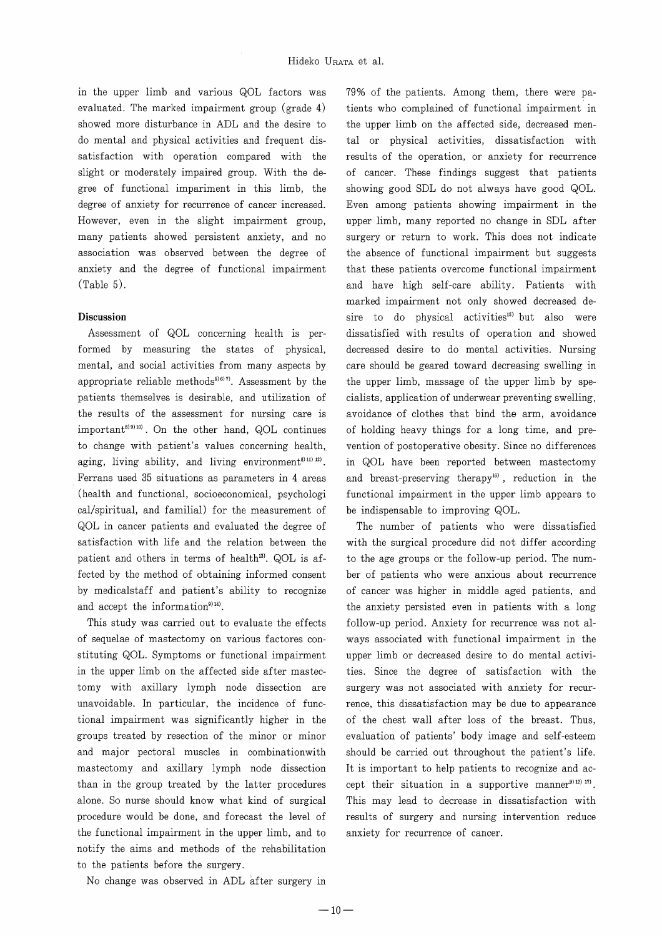in the upper limb and various QOL factors was evaluated. The marked impairment group (grade 4) showed more disturbance in ADL and the desire to do mental and physical activities and frequent dissatisfaction with operation compared with the slight or moderately impaired group. With the degree of functional impariment in this limb, the degree of anxiety for recurrence of cancer increased. However, even in the slight impairment group, many patients showed persistent anxiety, and no association was observed between the degree of anxiety and the degree of functional impairment (Table 5).

## Discussion

Assessment of QOL concerning health is performed by measuring the states of physical, mental, and social activities from many aspects by appropriate reliable methods $5^{(6)7)}$ . Assessment by the patients thernselves is desirable, and utilization of the results of the assessment for nursing care is important<sup>8) 9) 10</sup>). On the other hand, QOL continues to change with patient's values concerning health, aging, living ability, and living environment<sup>8) 11)</sup> 12). Ferrans used 35 situations as parameters in 4 areas (health and functional, socioeconomical, psychologi cal/spiritual, and familial) for the measurement of QOL in cancer patients and evaluated the degree of satisfaction with life and the relation between the patient and others in terms of health<sup>13)</sup>. QOL is affected by the method of obtaining informed consent by medicalstaff and patient's ability to recognize and accept the information $9)$ <sup>14)</sup>.

This study was carried out to evaluate the effects of sequelae of mastectomy on various factores constituting QOL. Symptoms or functional impairment in the upper limb on the affected side after mastectomy with axillary lymph node dissection are unavoidable. In particular, the incidence of functional impairment was significantly higher in the groups treated by resection of the minor or minor and major pectoral muscles in combinationwith mastectomy and axillary lymph node dissection than in the group treated by the latter procedures alone. So nurse should know what kind of surgical procedure would be done, and forecast the level of the functional impairment in the upper limb, and to notify the aims and methods of the rehabilitation to the patients before the surgery.

sire to do physical activities<sup>15</sup> but also were dissatisfied with results of operation and showed decreased desire to do mental activities. Nursing care should be geared toward decreasing swelling in the upper limb, massage of the upper limb by specialists, application of underwear preventing swelling, avoidance of clothes that bind the arm, avoidance of holding heavy things for a long time, and prevention of postoperative obesity. Since no differences in QOL have been reported between mastectomy and breast-preserving therapy<sup>16)</sup>, reduction in the functional impairment in the upper limb appears to be indispensable to improving QOL. 79% of the patients. Among them, there were patients who complained of functional impairment in the upper limb on the affected side, decreased mental or physical activities, dissatisfaction with results of the operation, or anxiety for recurrence of cancer. These findings suggest that patients showing good SDL do not always have good QOL. Even among patients showing impairment in the upper limb, many reported no change in SDL after surgery or return to work. This does not indicate the absence of functional impairment but suggests that these patients overcome functional impairment and have high self-care ability. Patients with marked impairment not only showed decreased de-

The number of patients who were dissatisfied with the surgical procedure did not differ according to the age groups or the follow-up period. The number of patients who were anxious about recurrence of cancer was higher in middle aged patients, and the anxiety persisted even in patients with a long follow-up period. Anxiety for recurrence was not always associated with functional impairment in the upper limb or decreased desire to do mental activities. Since the degree of satisfaction with the surgery was not associated with anxiety for recurrence, this dissatisfaction may be due to appearance of the chest wall after loss of the breast. Thus, evaluation of patients' body image and self-esteem should be carried out throughout the patient's life. It is important to help patients to recognize and accept their situation in a supportive manner<sup>9) 12)</sup>  $^{17}$ . This may lead to decrease in dissatisfaction with results of surgery and nursing intervention reduce anxiety for recurrence of cancer.

No change was observed in ADL after surgery in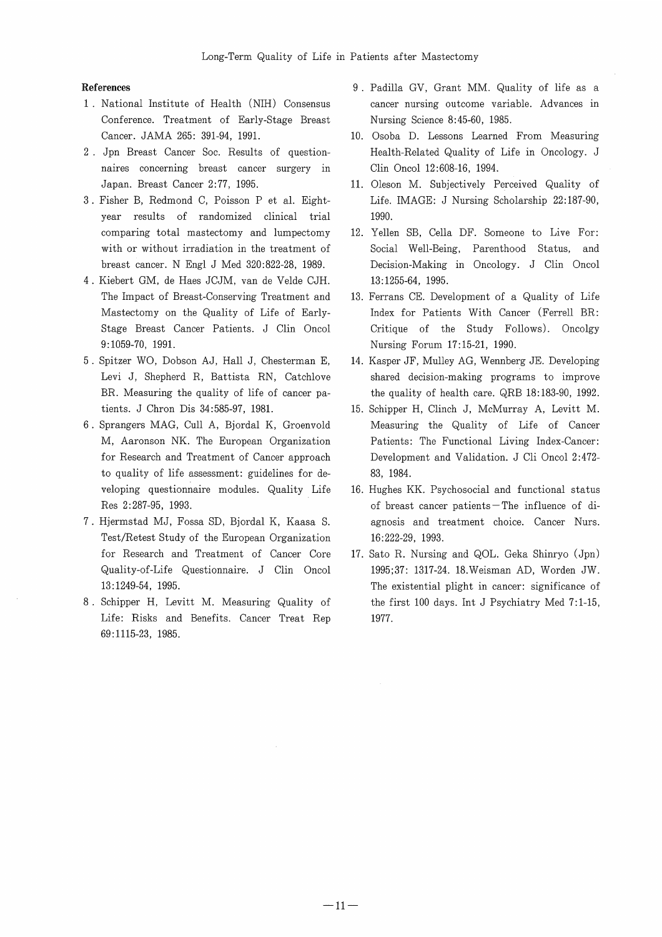### **References**

- 1 . National Institute of Health (NIH) Consensus Conference. Treatment of Early-Stage Breast Cancer. JAMA 265: 391-94, 1991.
- 2 . Jpn Breast Cancer Soc. Results of questionnaires concerning breast cancer surgery in Japan. Breast Cancer 2:77, 1995.
- 3 . Fisher B, Redmond C, Poisson P et al. Eightyear results of randomized clinical trial comparing total mastectomy and lumpectomy with or without irradiation in the treatment of breast cancer. N Engl J Med 320:822-28, 1989.
- 4 . Kiebert GM, de Haes JCJM, van de Velde CJH. The Impact of Breast-Conserving Treatment and Mastectomy on the Quality of Life of Early-Stage Breast Cancer Patients. J Clin Oncol 9:1059-70, 1991.
- 5 . Spitzer WO, Dobson AJ, Hall J, Chesterman E, Levi J, Shepherd R, Battista RN, Catchlove BR. Measuring the quality of life of cancer patients. J Chron Dis 34:585-97, 1981.
- 6 . Sprangers MAG, Cull A, Bjordal K, Groenvold M, Aaronson NK. The European Organization for Research and Treatment of Cancer approach to quality of life assessment: guidelines for developing questionnaire modules. Quality Life Res 2:287-95, 1993.
- 7 . Hjermstad MJ, Fossa SD, Bjordal K, Kaasa S. Test/Retest Study of the European Organization for Research and Treatment of Cancer Core Quality-of-Life Questionnaire. J Clin Oncol 13:1249-54, 1995.
- 8 . Schipper H, Levitt M. Measuring Quality of Life: Risks and Benefits. Cancer Treat Rep 69:1115-23, 1985.
- 9 . Padilla GV, Grant MM. Quality of life as a cancer nursing outcome variable. Advances in Nursing Science 8:45-60, 1985.
- 10. Osoba D. Lessons Learned From Measuring Health-Related Quality of Life in Oncology. J Clin Oncol 12:608-16, 1994.
- 11. Oleson M. Subjectively Perceived Quality of Life. IMAGE: J Nursing Scholarship 22:187-90, 1990.
- 12. Yellen SB, Cella DF. Someone to Live For: Social Well-Being, Parenthood Status, and Decision-Making in Oncology. J Clin Oncol 13:1255-64, 1995.
- 13. Ferrans CE. Development of a Quality of Life Index for Patients With Cancer (Ferrell BR: Critique of the Study Follows). Oncolgy Nursing Forum 17:15-21, 1990.
- 14. Kasper JF, Mulley AG, Wennberg JE. Developing shared decision-making programs to improve the quality of health care. QRB 18:183-90, 1992.
- 15. Schipper H, Clinch J, McMurray A, Levitt M. Measuring the Quality of Life of Cancer Patients: The Functional Living Index-Cancer: Development and Validation. J Cli Oncol 2:472- 83, 1984.
- 16. Hughes KK. Psychosocial and functional status of breast cancer patients - The influence of diagnosis and treatment choice. Cancer Nurs. 16:222-29, 1993.
- 17. Sato R. Nursing and QOL. Geka Shinryo (Jpn) 1995;37: 1317-24. 18.Weisman AD, Worden JW. The existential plight in cancer: significance of the first 100 days. Int J Psychiatry Med 7:1-15, 1977.